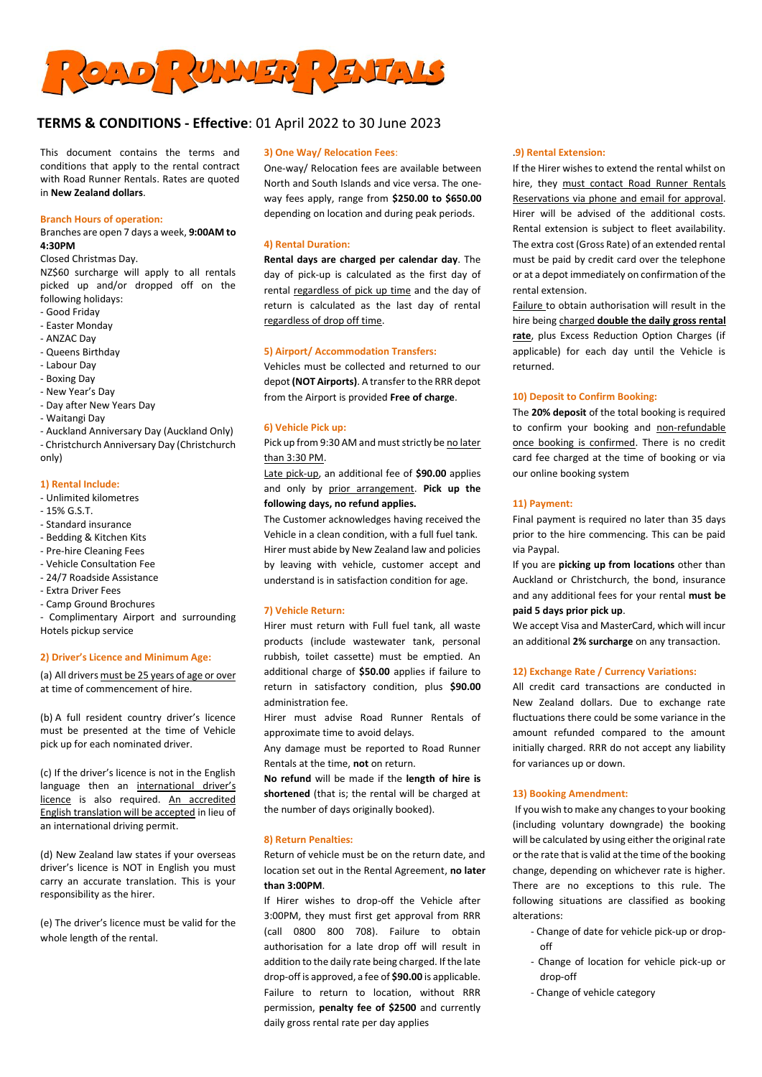

# **TERMS & CONDITIONS - Effective**: 01 April 2022 to 30 June 2023

This document contains the terms and conditions that apply to the rental contract with Road Runner Rentals. Rates are quoted in **New Zealand dollars**.

### **Branch Hours of operation:**

### Branches are open 7 days a week, **9:00AM to 4:30PM**

Closed Christmas Day.

NZ\$60 surcharge will apply to all rentals picked up and/or dropped off on the following holidays:

- Good Friday
- Easter Monday
- ANZAC Day
- Queens Birthday
- Labour Day
- Boxing Day
- New Year's Day
- Day after New Years Day
- Waitangi Day

- Auckland Anniversary Day (Auckland Only) - Christchurch Anniversary Day (Christchurch only)

# **1) Rental Include:**

- Unlimited kilometres
- $-15%$  G S T
- Standard insurance
- Bedding & Kitchen Kits
- Pre-hire Cleaning Fees
- Vehicle Consultation Fee
- 24/7 Roadside Assistance
- Extra Driver Fees
- Camp Ground Brochures

- Complimentary Airport and surrounding Hotels pickup service

### **2) Driver's Licence and Minimum Age:**

(a) All drivers must be 25 years of age or over at time of commencement of hire.

(b) A full resident country driver's licence must be presented at the time of Vehicle pick up for each nominated driver.

(c) If the driver's licence is not in the English language then an international driver's licence is also required. An accredited English translation will be accepted in lieu of an international driving permit.

(d) New Zealand law states if your overseas driver's licence is NOT in English you must carry an accurate translation. This is your responsibility as the hirer.

(e) The driver's licence must be valid for the whole length of the rental.

### **3) One Way/ Relocation Fees**:

One-way/ Relocation fees are available between North and South Islands and vice versa. The oneway fees apply, range from **\$250.00 to \$650.00** depending on location and during peak periods.

# **4) Rental Duration:**

**Rental days are charged per calendar day**. The day of pick-up is calculated as the first day of rental regardless of pick up time and the day of return is calculated as the last day of rental regardless of drop off time.

### **5) Airport/ Accommodation Transfers:**

Vehicles must be collected and returned to our depot **(NOT Airports)**. A transfer to the RRR depot from the Airport is provided **Free of charge**.

# **6) Vehicle Pick up:**

Pick up from 9:30 AM and must strictly be no later than 3:30 PM.

Late pick-up, an additional fee of **\$90.00** applies and only by prior arrangement. **Pick up the following days, no refund applies.**

The Customer acknowledges having received the Vehicle in a clean condition, with a full fuel tank. Hirer must abide by New Zealand law and policies by leaving with vehicle, customer accept and understand is in satisfaction condition for age.

### **7) Vehicle Return:**

Hirer must return with Full fuel tank, all waste products (include wastewater tank, personal rubbish, toilet cassette) must be emptied. An additional charge of **\$50.00** applies if failure to return in satisfactory condition, plus **\$90.00** administration fee.

Hirer must advise Road Runner Rentals of approximate time to avoid delays.

Any damage must be reported to Road Runner Rentals at the time, **not** on return.

**No refund** will be made if the **length of hire is shortened** (that is; the rental will be charged at the number of days originally booked).

#### **8) Return Penalties:**

Return of vehicle must be on the return date, and location set out in the Rental Agreement, **no later than 3:00PM**.

If Hirer wishes to drop-off the Vehicle after 3:00PM, they must first get approval from RRR (call 0800 800 708). Failure to obtain authorisation for a late drop off will result in addition to the daily rate being charged. If the late drop-off is approved, a fee of **\$90.00** is applicable. Failure to return to location, without RRR permission, **penalty fee of \$2500** and currently daily gross rental rate per day applies

#### .**9) Rental Extension:**

If the Hirer wishes to extend the rental whilst on hire, they must contact Road Runner Rentals Reservations via phone and email for approval. Hirer will be advised of the additional costs. Rental extension is subject to fleet availability. The extra cost (Gross Rate) of an extended rental must be paid by credit card over the telephone or at a depot immediately on confirmation of the rental extension.

Failure to obtain authorisation will result in the hire being charged **double the daily gross rental rate**, plus Excess Reduction Option Charges (if applicable) for each day until the Vehicle is returned.

### **10) Deposit to Confirm Booking:**

The **20% deposit** of the total booking is required to confirm your booking and non-refundable once booking is confirmed. There is no credit card fee charged at the time of booking or via our online booking system

# **11) Payment:**

Final payment is required no later than 35 days prior to the hire commencing. This can be paid via Paypal.

If you are **picking up from locations** other than Auckland or Christchurch, the bond, insurance and any additional fees for your rental **must be paid 5 days prior pick up**.

We accept Visa and MasterCard, which will incur an additional **2% surcharge** on any transaction.

# **12) Exchange Rate / Currency Variations:**

All credit card transactions are conducted in New Zealand dollars. Due to exchange rate fluctuations there could be some variance in the amount refunded compared to the amount initially charged. RRR do not accept any liability for variances up or down.

### **13) Booking Amendment:**

If you wish to make any changes to your booking (including voluntary downgrade) the booking will be calculated by using either the original rate or the rate that is valid at the time of the booking change, depending on whichever rate is higher. There are no exceptions to this rule. The following situations are classified as booking alterations:

- Change of date for vehicle pick-up or dropoff
- Change of location for vehicle pick-up or drop-off
- Change of vehicle category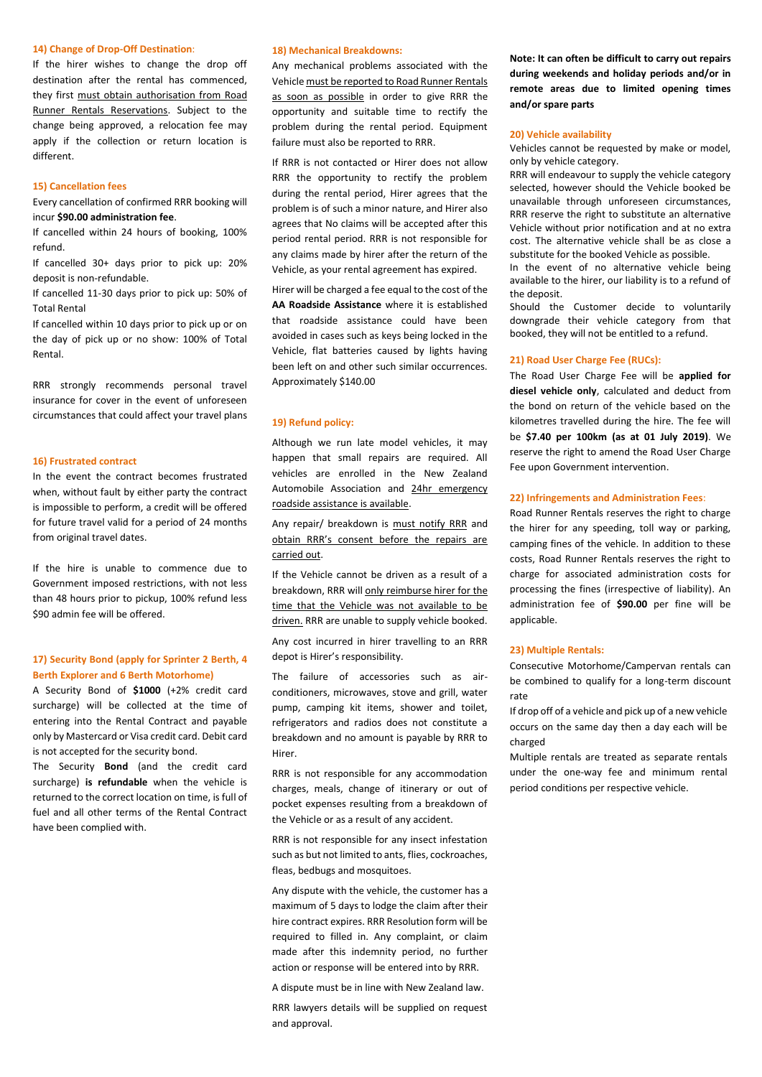### **14) Change of Drop-Off Destination**:

If the hirer wishes to change the drop off destination after the rental has commenced, they first must obtain authorisation from Road Runner Rentals Reservations. Subject to the change being approved, a relocation fee may apply if the collection or return location is different.

### **15) Cancellation fees**

Every cancellation of confirmed RRR booking will incur **\$90.00 administration fee**.

If cancelled within 24 hours of booking, 100% refund.

If cancelled 30+ days prior to pick up: 20% deposit is non-refundable.

If cancelled 11-30 days prior to pick up: 50% of Total Rental

If cancelled within 10 days prior to pick up or on the day of pick up or no show: 100% of Total Rental.

RRR strongly recommends personal travel insurance for cover in the event of unforeseen circumstances that could affect your travel plans

#### **16) Frustrated contract**

In the event the contract becomes frustrated when, without fault by either party the contract is impossible to perform, a credit will be offered for future travel valid for a period of 24 months from original travel dates.

If the hire is unable to commence due to Government imposed restrictions, with not less than 48 hours prior to pickup, 100% refund less \$90 admin fee will be offered.

# **17) Security Bond (apply for Sprinter 2 Berth, 4 Berth Explorer and 6 Berth Motorhome)**

A Security Bond of **\$1000** (+2% credit card surcharge) will be collected at the time of entering into the Rental Contract and payable only by Mastercard or Visa credit card. Debit card is not accepted for the security bond.

The Security **Bond** (and the credit card surcharge) **is refundable** when the vehicle is returned to the correct location on time, is full of fuel and all other terms of the Rental Contract have been complied with.

### **18) Mechanical Breakdowns:**

Any mechanical problems associated with the Vehicle must be reported to Road Runner Rentals as soon as possible in order to give RRR the opportunity and suitable time to rectify the problem during the rental period. Equipment failure must also be reported to RRR.

If RRR is not contacted or Hirer does not allow RRR the opportunity to rectify the problem during the rental period, Hirer agrees that the problem is of such a minor nature, and Hirer also agrees that No claims will be accepted after this period rental period. RRR is not responsible for any claims made by hirer after the return of the Vehicle, as your rental agreement has expired.

Hirer will be charged a fee equal to the cost of the **AA Roadside Assistance** where it is established that roadside assistance could have been avoided in cases such as keys being locked in the Vehicle, flat batteries caused by lights having been left on and other such similar occurrences. Approximately \$140.00

#### **19) Refund policy:**

Although we run late model vehicles, it may happen that small repairs are required. All vehicles are enrolled in the New Zealand Automobile Association and 24hr emergency roadside assistance is available.

Any repair/ breakdown is must notify RRR and obtain RRR's consent before the repairs are carried out.

If the Vehicle cannot be driven as a result of a breakdown, RRR will only reimburse hirer for the time that the Vehicle was not available to be driven. RRR are unable to supply vehicle booked.

Any cost incurred in hirer travelling to an RRR depot is Hirer's responsibility.

The failure of accessories such as airconditioners, microwaves, stove and grill, water pump, camping kit items, shower and toilet, refrigerators and radios does not constitute a breakdown and no amount is payable by RRR to Hirer.

RRR is not responsible for any accommodation charges, meals, change of itinerary or out of pocket expenses resulting from a breakdown of the Vehicle or as a result of any accident.

RRR is not responsible for any insect infestation such as but not limited to ants, flies, cockroaches, fleas, bedbugs and mosquitoes.

Any dispute with the vehicle, the customer has a maximum of 5 days to lodge the claim after their hire contract expires. RRR Resolution form will be required to filled in. Any complaint, or claim made after this indemnity period, no further action or response will be entered into by RRR.

A dispute must be in line with New Zealand law.

RRR lawyers details will be supplied on request and approval.

**Note: It can often be difficult to carry out repairs during weekends and holiday periods and/or in remote areas due to limited opening times and/or spare parts**

#### **20) Vehicle availability**

Vehicles cannot be requested by make or model, only by vehicle category.

RRR will endeavour to supply the vehicle category selected, however should the Vehicle booked be unavailable through unforeseen circumstances, RRR reserve the right to substitute an alternative Vehicle without prior notification and at no extra cost. The alternative vehicle shall be as close a substitute for the booked Vehicle as possible.

In the event of no alternative vehicle being available to the hirer, our liability is to a refund of the deposit.

Should the Customer decide to voluntarily downgrade their vehicle category from that booked, they will not be entitled to a refund.

### **21) Road User Charge Fee (RUCs):**

The Road User Charge Fee will be **applied for diesel vehicle only**, calculated and deduct from the bond on return of the vehicle based on the kilometres travelled during the hire. The fee will be **\$7.40 per 100km (as at 01 July 2019)**. We reserve the right to amend the Road User Charge Fee upon Government intervention.

### **22) Infringements and Administration Fees**:

Road Runner Rentals reserves the right to charge the hirer for any speeding, toll way or parking, camping fines of the vehicle. In addition to these costs, Road Runner Rentals reserves the right to charge for associated administration costs for processing the fines (irrespective of liability). An administration fee of **\$90.00** per fine will be applicable.

### **23) Multiple Rentals:**

Consecutive Motorhome/Campervan rentals can be combined to qualify for a long-term discount rate

If drop off of a vehicle and pick up of a new vehicle occurs on the same day then a day each will be charged

Multiple rentals are treated as separate rentals under the one-way fee and minimum rental period conditions per respective vehicle.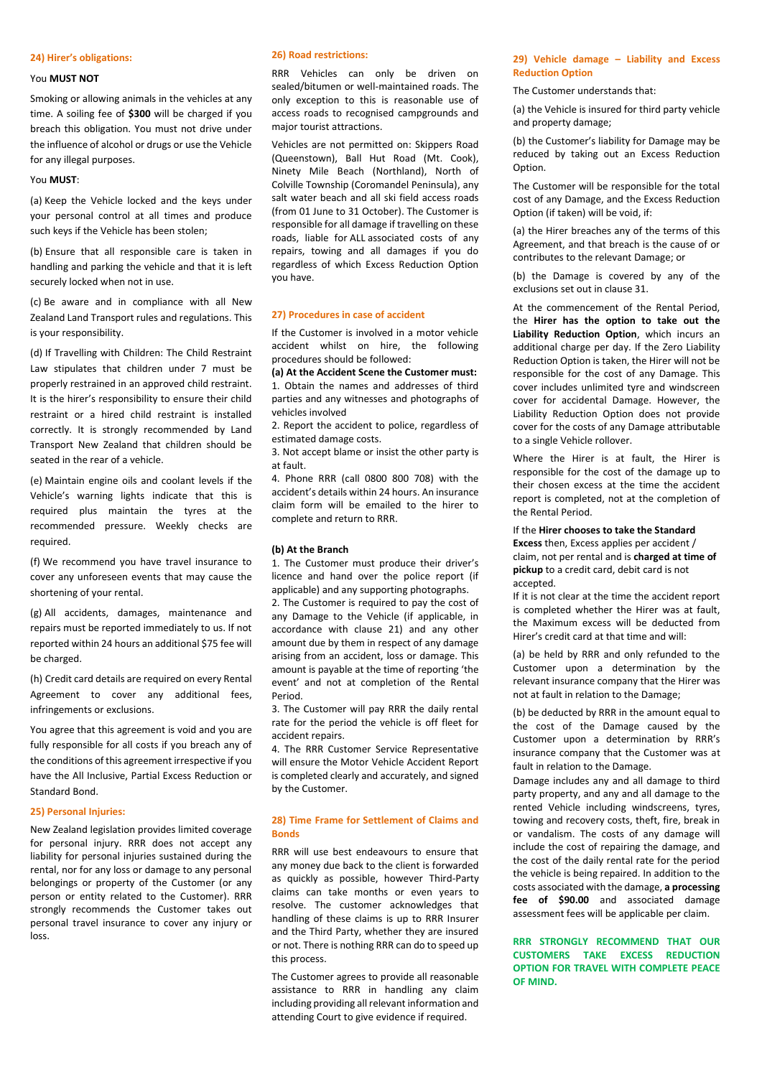### **24) Hirer's obligations:**

### You **MUST NOT**

Smoking or allowing animals in the vehicles at any time. A soiling fee of **\$300** will be charged if you breach this obligation. You must not drive under the influence of alcohol or drugs or use the Vehicle for any illegal purposes.

# You **MUST**:

(a) Keep the Vehicle locked and the keys under your personal control at all times and produce such keys if the Vehicle has been stolen;

(b) Ensure that all responsible care is taken in handling and parking the vehicle and that it is left securely locked when not in use.

(c) Be aware and in compliance with all New Zealand Land Transport rules and regulations. This is your responsibility.

(d) If Travelling with Children: The Child Restraint Law stipulates that children under 7 must be properly restrained in an approved child restraint. It is the hirer's responsibility to ensure their child restraint or a hired child restraint is installed correctly. It is strongly recommended by Land Transport New Zealand that children should be seated in the rear of a vehicle.

(e) Maintain engine oils and coolant levels if the Vehicle's warning lights indicate that this is required plus maintain the tyres at the recommended pressure. Weekly checks are required.

(f) We recommend you have travel insurance to cover any unforeseen events that may cause the shortening of your rental.

(g) All accidents, damages, maintenance and repairs must be reported immediately to us. If not reported within 24 hours an additional \$75 fee will be charged.

(h) Credit card details are required on every Rental Agreement to cover any additional fees, infringements or exclusions.

You agree that this agreement is void and you are fully responsible for all costs if you breach any of the conditions of this agreement irrespective if you have the All Inclusive, Partial Excess Reduction or Standard Bond.

### **25) Personal Injuries:**

New Zealand legislation provides limited coverage for personal injury. RRR does not accept any liability for personal injuries sustained during the rental, nor for any loss or damage to any personal belongings or property of the Customer (or any person or entity related to the Customer). RRR strongly recommends the Customer takes out personal travel insurance to cover any injury or loss.

## **26) Road restrictions:**

RRR Vehicles can only be driven on sealed/bitumen or well-maintained roads. The only exception to this is reasonable use of access roads to recognised campgrounds and major tourist attractions.

Vehicles are not permitted on: Skippers Road (Queenstown), Ball Hut Road (Mt. Cook), Ninety Mile Beach (Northland), North of Colville Township (Coromandel Peninsula), any salt water beach and all ski field access roads (from 01 June to 31 October). The Customer is responsible for all damage if travelling on these roads, liable for ALL associated costs of any repairs, towing and all damages if you do regardless of which Excess Reduction Option you have.

### **27) Procedures in case of accident**

If the Customer is involved in a motor vehicle accident whilst on hire, the following procedures should be followed:

**(a) At the Accident Scene the Customer must:**  1. Obtain the names and addresses of third parties and any witnesses and photographs of vehicles involved

2. Report the accident to police, regardless of estimated damage costs.

3. Not accept blame or insist the other party is at fault.

4. Phone RRR (call 0800 800 708) with the accident's details within 24 hours. An insurance claim form will be emailed to the hirer to complete and return to RRR.

### **(b) At the Branch**

1. The Customer must produce their driver's licence and hand over the police report (if applicable) and any supporting photographs.

2. The Customer is required to pay the cost of any Damage to the Vehicle (if applicable, in accordance with clause 21) and any other amount due by them in respect of any damage arising from an accident, loss or damage. This amount is payable at the time of reporting 'the event' and not at completion of the Rental Period.

3. The Customer will pay RRR the daily rental rate for the period the vehicle is off fleet for accident repairs.

4. The RRR Customer Service Representative will ensure the Motor Vehicle Accident Report is completed clearly and accurately, and signed by the Customer.

# **28) Time Frame for Settlement of Claims and Bonds**

RRR will use best endeavours to ensure that any money due back to the client is forwarded as quickly as possible, however Third-Party claims can take months or even years to resolve. The customer acknowledges that handling of these claims is up to RRR Insurer and the Third Party, whether they are insured or not. There is nothing RRR can do to speed up this process.

The Customer agrees to provide all reasonable assistance to RRR in handling any claim including providing all relevant information and attending Court to give evidence if required.

# **29) Vehicle damage – Liability and Excess Reduction Option**

The Customer understands that:

(a) the Vehicle is insured for third party vehicle and property damage;

(b) the Customer's liability for Damage may be reduced by taking out an Excess Reduction Option.

The Customer will be responsible for the total cost of any Damage, and the Excess Reduction Option (if taken) will be void, if:

(a) the Hirer breaches any of the terms of this Agreement, and that breach is the cause of or contributes to the relevant Damage; or

(b) the Damage is covered by any of the exclusions set out in clause 31.

At the commencement of the Rental Period, the **Hirer has the option to take out the Liability Reduction Option**, which incurs an additional charge per day. If the Zero Liability Reduction Option is taken, the Hirer will not be responsible for the cost of any Damage. This cover includes unlimited tyre and windscreen cover for accidental Damage. However, the Liability Reduction Option does not provide cover for the costs of any Damage attributable to a single Vehicle rollover.

Where the Hirer is at fault, the Hirer is responsible for the cost of the damage up to their chosen excess at the time the accident report is completed, not at the completion of the Rental Period.

### If the **Hirer chooses to take the Standard**

**Excess** then, Excess applies per accident / claim, not per rental and is **charged at time of pickup** to a credit card, debit card is not accepted.

If it is not clear at the time the accident report is completed whether the Hirer was at fault, the Maximum excess will be deducted from Hirer's credit card at that time and will:

(a) be held by RRR and only refunded to the Customer upon a determination by the relevant insurance company that the Hirer was not at fault in relation to the Damage;

(b) be deducted by RRR in the amount equal to the cost of the Damage caused by the Customer upon a determination by RRR's insurance company that the Customer was at fault in relation to the Damage.

Damage includes any and all damage to third party property, and any and all damage to the rented Vehicle including windscreens, tyres, towing and recovery costs, theft, fire, break in or vandalism. The costs of any damage will include the cost of repairing the damage, and the cost of the daily rental rate for the period the vehicle is being repaired. In addition to the costs associated with the damage, **a processing fee of \$90.00** and associated damage assessment fees will be applicable per claim.

**RRR STRONGLY RECOMMEND THAT OUR CUSTOMERS TAKE EXCESS REDUCTION OPTION FOR TRAVEL WITH COMPLETE PEACE OF MIND.**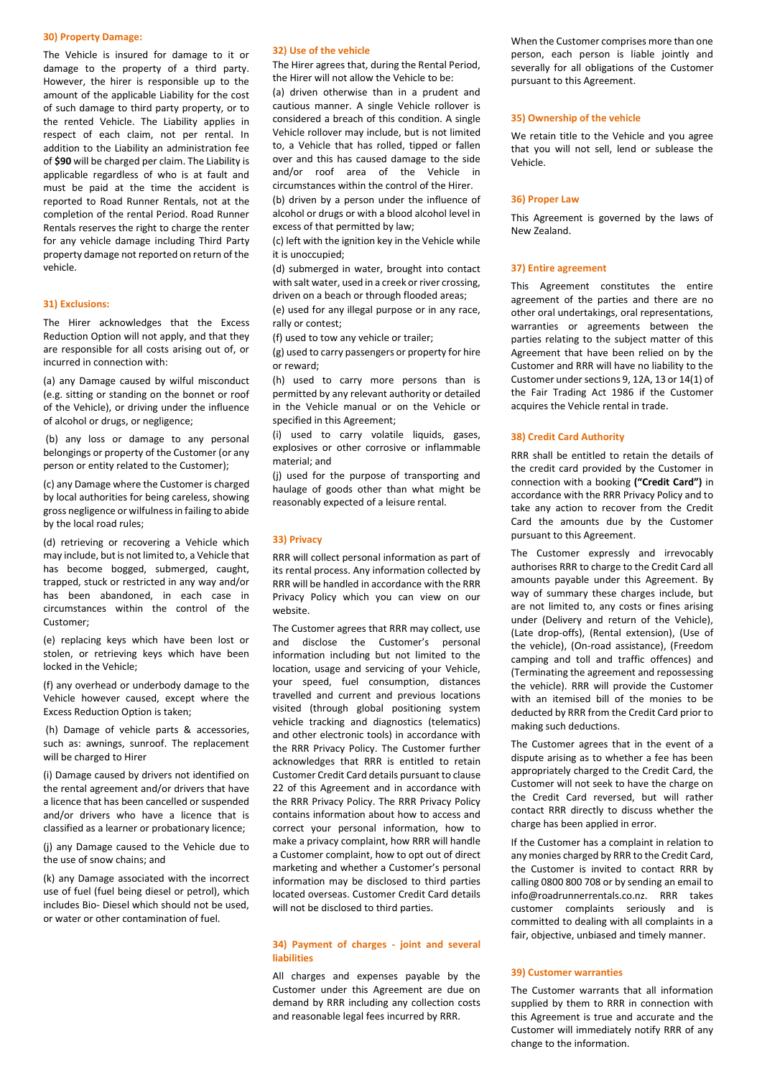#### **30) Property Damage:**

The Vehicle is insured for damage to it or damage to the property of a third party. However, the hirer is responsible up to the amount of the applicable Liability for the cost of such damage to third party property, or to the rented Vehicle. The Liability applies in respect of each claim, not per rental. In addition to the Liability an administration fee of **\$90** will be charged per claim. The Liability is applicable regardless of who is at fault and must be paid at the time the accident is reported to Road Runner Rentals, not at the completion of the rental Period. Road Runner Rentals reserves the right to charge the renter for any vehicle damage including Third Party property damage not reported on return of the vehicle.

### **31) Exclusions:**

The Hirer acknowledges that the Excess Reduction Option will not apply, and that they are responsible for all costs arising out of, or incurred in connection with:

(a) any Damage caused by wilful misconduct (e.g. sitting or standing on the bonnet or roof of the Vehicle), or driving under the influence of alcohol or drugs, or negligence;

(b) any loss or damage to any personal belongings or property of the Customer (or any person or entity related to the Customer);

(c) any Damage where the Customer is charged by local authorities for being careless, showing gross negligence or wilfulness in failing to abide by the local road rules;

(d) retrieving or recovering a Vehicle which may include, but is not limited to, a Vehicle that has become bogged, submerged, caught, trapped, stuck or restricted in any way and/or has been abandoned, in each case in circumstances within the control of the Customer;

(e) replacing keys which have been lost or stolen, or retrieving keys which have been locked in the Vehicle;

(f) any overhead or underbody damage to the Vehicle however caused, except where the Excess Reduction Option is taken;

(h) Damage of vehicle parts & accessories, such as: awnings, sunroof. The replacement will be charged to Hirer

(i) Damage caused by drivers not identified on the rental agreement and/or drivers that have a licence that has been cancelled or suspended and/or drivers who have a licence that is classified as a learner or probationary licence;

(j) any Damage caused to the Vehicle due to the use of snow chains; and

(k) any Damage associated with the incorrect use of fuel (fuel being diesel or petrol), which includes Bio- Diesel which should not be used, or water or other contamination of fuel.

### **32) Use of the vehicle**

The Hirer agrees that, during the Rental Period, the Hirer will not allow the Vehicle to be:

(a) driven otherwise than in a prudent and cautious manner. A single Vehicle rollover is considered a breach of this condition. A single Vehicle rollover may include, but is not limited to, a Vehicle that has rolled, tipped or fallen over and this has caused damage to the side and/or roof area of the Vehicle in circumstances within the control of the Hirer.

(b) driven by a person under the influence of alcohol or drugs or with a blood alcohol level in excess of that permitted by law;

(c) left with the ignition key in the Vehicle while it is unoccupied;

(d) submerged in water, brought into contact with salt water, used in a creek or river crossing, driven on a beach or through flooded areas;

(e) used for any illegal purpose or in any race, rally or contest;

(f) used to tow any vehicle or trailer;

(g) used to carry passengers or property for hire or reward;

(h) used to carry more persons than is permitted by any relevant authority or detailed in the Vehicle manual or on the Vehicle or specified in this Agreement;

(i) used to carry volatile liquids, gases, explosives or other corrosive or inflammable material; and

(j) used for the purpose of transporting and haulage of goods other than what might be reasonably expected of a leisure rental.

# **33) Privacy**

RRR will collect personal information as part of its rental process. Any information collected by RRR will be handled in accordance with the RRR Privacy Policy which you can view on our website.

The Customer agrees that RRR may collect, use and disclose the Customer's personal information including but not limited to the location, usage and servicing of your Vehicle, your speed, fuel consumption, distances travelled and current and previous locations visited (through global positioning system vehicle tracking and diagnostics (telematics) and other electronic tools) in accordance with the RRR Privacy Policy. The Customer further acknowledges that RRR is entitled to retain Customer Credit Card details pursuant to clause 22 of this Agreement and in accordance with the RRR Privacy Policy. The RRR Privacy Policy contains information about how to access and correct your personal information, how to make a privacy complaint, how RRR will handle a Customer complaint, how to opt out of direct marketing and whether a Customer's personal information may be disclosed to third parties located overseas. Customer Credit Card details will not be disclosed to third parties.

### **34) Payment of charges - joint and several liabilities**

All charges and expenses payable by the Customer under this Agreement are due on demand by RRR including any collection costs and reasonable legal fees incurred by RRR.

When the Customer comprises more than one person, each person is liable jointly and severally for all obligations of the Customer pursuant to this Agreement.

### **35) Ownership of the vehicle**

We retain title to the Vehicle and you agree that you will not sell, lend or sublease the Vehicle.

#### **36) Proper Law**

This Agreement is governed by the laws of New Zealand.

#### **37) Entire agreement**

This Agreement constitutes the entire agreement of the parties and there are no other oral undertakings, oral representations, warranties or agreements between the parties relating to the subject matter of this Agreement that have been relied on by the Customer and RRR will have no liability to the Customer under sections 9, 12A, 13 or 14(1) of the Fair Trading Act 1986 if the Customer acquires the Vehicle rental in trade.

#### **38) Credit Card Authority**

RRR shall be entitled to retain the details of the credit card provided by the Customer in connection with a booking **("Credit Card")** in accordance with the RRR Privacy Policy and to take any action to recover from the Credit Card the amounts due by the Customer pursuant to this Agreement.

The Customer expressly and irrevocably authorises RRR to charge to the Credit Card all amounts payable under this Agreement. By way of summary these charges include, but are not limited to, any costs or fines arising under (Delivery and return of the Vehicle), (Late drop-offs), (Rental extension), (Use of the vehicle), (On-road assistance), (Freedom camping and toll and traffic offences) and (Terminating the agreement and repossessing the vehicle). RRR will provide the Customer with an itemised bill of the monies to be deducted by RRR from the Credit Card prior to making such deductions.

The Customer agrees that in the event of a dispute arising as to whether a fee has been appropriately charged to the Credit Card, the Customer will not seek to have the charge on the Credit Card reversed, but will rather contact RRR directly to discuss whether the charge has been applied in error.

If the Customer has a complaint in relation to any monies charged by RRR to the Credit Card, the Customer is invited to contact RRR by calling 0800 800 708 or by sending an email to info@roadrunnerrentals.co.nz. RRR takes customer complaints seriously and is committed to dealing with all complaints in a fair, objective, unbiased and timely manner.

### **39) Customer warranties**

The Customer warrants that all information supplied by them to RRR in connection with this Agreement is true and accurate and the Customer will immediately notify RRR of any change to the information.